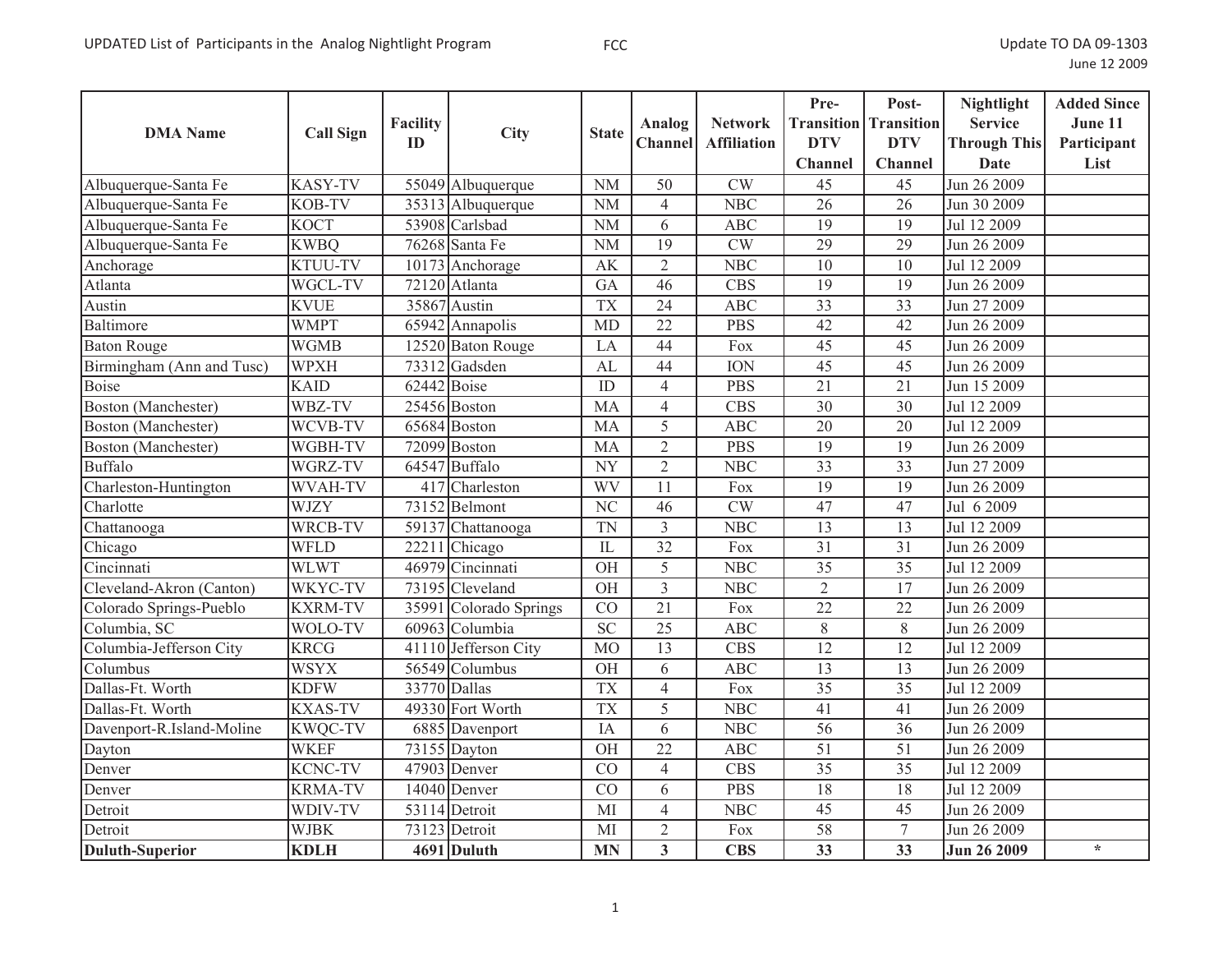| <b>DMA</b> Name            | <b>Call Sign</b>           | <b>Facility</b> | <b>City</b>                         | <b>State</b>           | Analog                  | <b>Network</b>         | Pre-            | Post-<br><b>Transition Transition</b> | <b>Nightlight</b><br><b>Service</b> | <b>Added Since</b><br>June 11 |
|----------------------------|----------------------------|-----------------|-------------------------------------|------------------------|-------------------------|------------------------|-----------------|---------------------------------------|-------------------------------------|-------------------------------|
|                            |                            | ID              |                                     |                        | <b>Channel</b>          | <b>Affiliation</b>     | <b>DTV</b>      | <b>DTV</b><br><b>Channel</b>          | <b>Through This</b>                 | Participant                   |
|                            | <b>KASY-TV</b>             |                 |                                     |                        | $\overline{50}$         | $\overline{\text{CW}}$ | <b>Channel</b>  | $\overline{45}$                       | Date<br>Jun 26 2009                 | List                          |
| Albuquerque-Santa Fe       | KOB-TV                     |                 | 55049 Albuquerque                   | <b>NM</b><br><b>NM</b> |                         | <b>NBC</b>             | 45<br>26        | 26                                    |                                     |                               |
| Albuquerque-Santa Fe       |                            |                 | 35313 Albuquerque<br>53908 Carlsbad |                        | 4                       |                        | 19              | 19                                    | Jun 30 2009                         |                               |
| Albuquerque-Santa Fe       | <b>KOCT</b><br><b>KWBQ</b> |                 | 76268 Santa Fe                      | $\rm NM$<br><b>NM</b>  | 6<br>$\overline{19}$    | <b>ABC</b><br>CW       | 29              | $\overline{29}$                       | Jul 12 2009                         |                               |
| Albuquerque-Santa Fe       |                            |                 |                                     |                        |                         |                        |                 |                                       | Jun 26 2009                         |                               |
| Anchorage                  | <b>KTUU-TV</b>             |                 | 10173 Anchorage                     | <b>AK</b>              | $\overline{2}$<br>46    | <b>NBC</b>             | 10              | 10                                    | Jul 12 2009                         |                               |
| Atlanta                    | WGCL-TV                    |                 | 72120 Atlanta                       | GA                     |                         | <b>CBS</b>             | 19              | 19                                    | Jun 26 2009                         |                               |
| Austin                     | <b>KVUE</b>                |                 | 35867 Austin                        | <b>TX</b>              | $\overline{24}$         | <b>ABC</b>             | $\overline{33}$ | $\overline{33}$                       | Jun 27 2009                         |                               |
| Baltimore                  | <b>WMPT</b>                |                 | 65942 Annapolis                     | <b>MD</b>              | $\overline{22}$         | <b>PBS</b>             | 42              | $\overline{42}$                       | Jun 26 2009                         |                               |
| <b>Baton Rouge</b>         | <b>WGMB</b>                |                 | 12520 Baton Rouge                   | LA                     | 44                      | Fox                    | 45              | 45                                    | Jun 26 2009                         |                               |
| Birmingham (Ann and Tusc)  | <b>WPXH</b>                |                 | 73312 Gadsden                       | AL                     | 44                      | <b>ION</b>             | $\overline{45}$ | $\overline{45}$                       | Jun 26 2009                         |                               |
| <b>Boise</b>               | <b>KAID</b>                | $62442$ Boise   |                                     | ID                     | $\overline{4}$          | <b>PBS</b>             | 21              | 21                                    | Jun 15 2009                         |                               |
| Boston (Manchester)        | WBZ-TV                     |                 | 25456 Boston                        | MA                     | $\overline{4}$          | <b>CBS</b>             | 30              | 30                                    | Jul 12 2009                         |                               |
| <b>Boston</b> (Manchester) | WCVB-TV                    |                 | 65684 Boston                        | MA                     | 5                       | <b>ABC</b>             | $\overline{20}$ | 20                                    | Jul 12 2009                         |                               |
| Boston (Manchester)        | WGBH-TV                    | 72099           | Boston                              | MA                     | $\overline{2}$          | <b>PBS</b>             | 19              | 19                                    | Jun 26 2009                         |                               |
| Buffalo                    | WGRZ-TV                    |                 | 64547 Buffalo                       | <b>NY</b>              | $\overline{2}$          | <b>NBC</b>             | $\overline{33}$ | $\overline{33}$                       | Jun 27 2009                         |                               |
| Charleston-Huntington      | WVAH-TV                    | 417             | Charleston                          | <b>WV</b>              | 11                      | Fox                    | $\overline{19}$ | $\overline{19}$                       | Jun 26 2009                         |                               |
| Charlotte                  | <b>WJZY</b>                |                 | 73152 Belmont                       | $\overline{\text{NC}}$ | 46                      | <b>CW</b>              | 47              | 47                                    | Jul 6 2009                          |                               |
| Chattanooga                | WRCB-TV                    | 59137           | Chattanooga                         | <b>TN</b>              | $\overline{3}$          | <b>NBC</b>             | 13              | 13                                    | Jul 12 2009                         |                               |
| Chicago                    | <b>WFLD</b>                | 2221            | Chicago                             | IL                     | $\overline{32}$         | Fox                    | 31              | 31                                    | Jun 26 2009                         |                               |
| Cincinnati                 | <b>WLWT</b>                |                 | 46979 Cincinnati                    | <b>OH</b>              | 5                       | <b>NBC</b>             | 35              | 35                                    | Jul 12 2009                         |                               |
| Cleveland-Akron (Canton)   | WKYC-TV                    |                 | 73195 Cleveland                     | <b>OH</b>              | $\overline{3}$          | <b>NBC</b>             | $\overline{2}$  | 17                                    | Jun 26 2009                         |                               |
| Colorado Springs-Pueblo    | <b>KXRM-TV</b>             | 35991           | Colorado Springs                    | CO                     | 21                      | Fox                    | 22              | 22                                    | Jun 26 2009                         |                               |
| Columbia, SC               | WOLO-TV                    |                 | 60963 Columbia                      | $\overline{SC}$        | 25                      | <b>ABC</b>             | 8               | $8\,$                                 | Jun 26 2009                         |                               |
| Columbia-Jefferson City    | <b>KRCG</b>                |                 | 41110 Jefferson City                | M <sub>O</sub>         | $\overline{13}$         | $\overline{CBS}$       | $\overline{12}$ | 12                                    | Jul 12 2009                         |                               |
| Columbus                   | <b>WSYX</b>                |                 | 56549 Columbus                      | OH                     | 6                       | <b>ABC</b>             | 13              | 13                                    | Jun 26 2009                         |                               |
| Dallas-Ft. Worth           | <b>KDFW</b>                |                 | 33770 Dallas                        | <b>TX</b>              | $\overline{4}$          | Fox                    | $\overline{35}$ | $\overline{35}$                       | Jul 12 2009                         |                               |
| Dallas-Ft. Worth           | <b>KXAS-TV</b>             |                 | 49330 Fort Worth                    | <b>TX</b>              | 5                       | <b>NBC</b>             | 41              | 41                                    | Jun 26 2009                         |                               |
| Davenport-R.Island-Moline  | <b>KWQC-TV</b>             |                 | 6885 Davenport                      | IA                     | 6                       | <b>NBC</b>             | 56              | $\overline{36}$                       | Jun 26 2009                         |                               |
| Dayton                     | <b>WKEF</b>                |                 | 73155 Dayton                        | <b>OH</b>              | $\overline{22}$         | <b>ABC</b>             | 51              | 51                                    | Jun 26 2009                         |                               |
| Denver                     | <b>KCNC-TV</b>             |                 | 47903 Denver                        | CO                     | $\overline{4}$          | <b>CBS</b>             | 35              | 35                                    | Jul 12 2009                         |                               |
| Denver                     | <b>KRMA-TV</b>             |                 | 14040 Denver                        | $\overline{CO}$        | 6                       | <b>PBS</b>             | $\overline{18}$ | 18                                    | Jul 12 2009                         |                               |
| Detroit                    | WDIV-TV                    |                 | 53114 Detroit                       | MI                     | $\overline{4}$          | <b>NBC</b>             | 45              | 45                                    | Jun 26 2009                         |                               |
| Detroit                    | <b>WJBK</b>                |                 | $\overline{73}123$ Detroit          | MI                     | $\overline{2}$          | Fox                    | $\overline{58}$ | $\tau$                                | Jun 26 2009                         |                               |
| <b>Duluth-Superior</b>     | <b>KDLH</b>                |                 | 4691 Duluth                         | <b>MN</b>              | $\overline{\mathbf{3}}$ | <b>CBS</b>             | $\overline{33}$ | $\overline{33}$                       | Jun 26 2009                         | $\star$                       |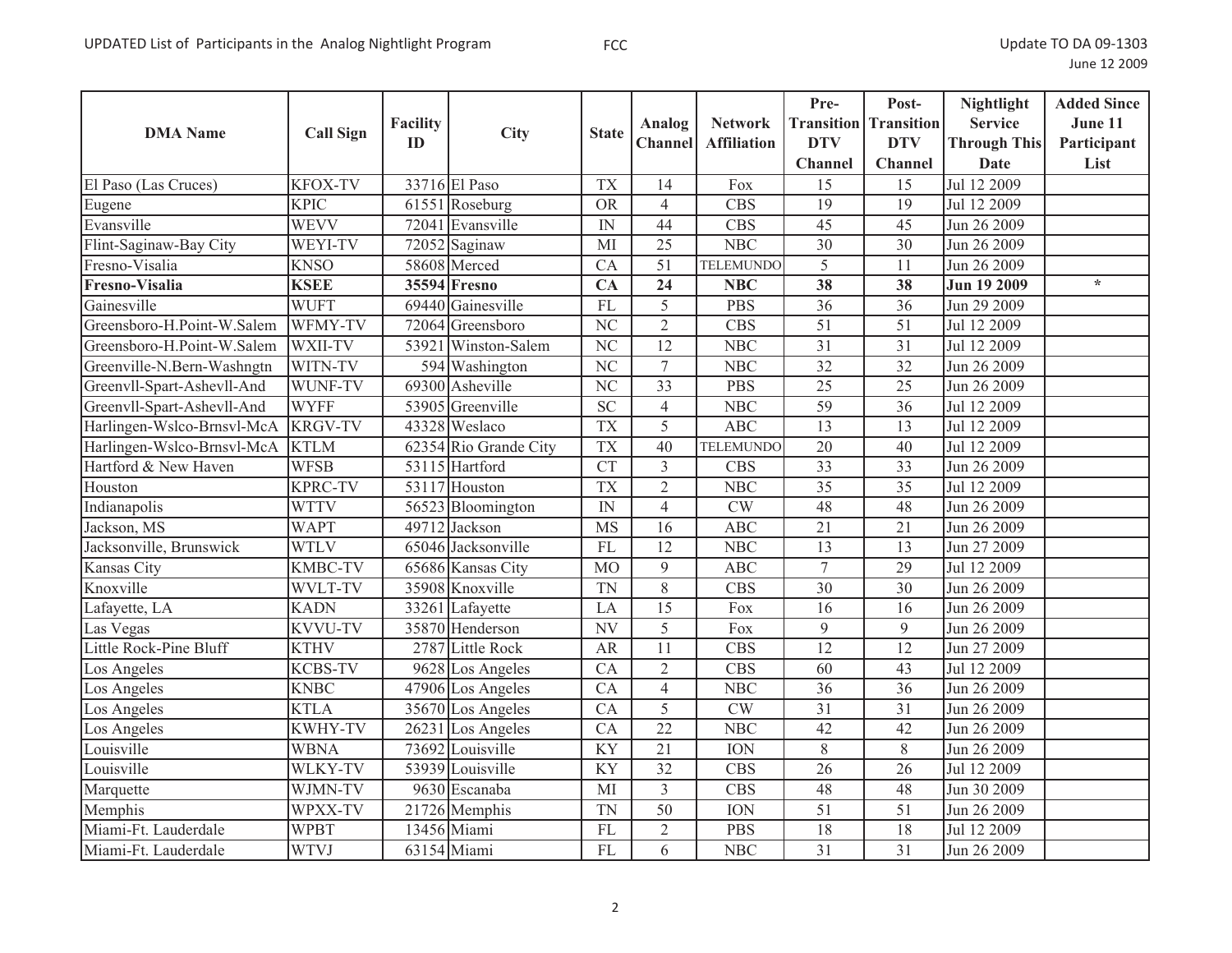| <b>DMA</b> Name            | <b>Call Sign</b> | Facility<br>ID | City                  | <b>State</b>           | Analog<br><b>Channel</b> | <b>Network</b><br><b>Affiliation</b> | Pre-<br><b>DTV</b><br>Channel | Post-<br><b>Transition</b> Transition<br><b>DTV</b><br><b>Channel</b> | <b>Nightlight</b><br><b>Service</b><br><b>Through This</b><br><b>Date</b> | <b>Added Since</b><br>June 11<br>Participant<br>List |
|----------------------------|------------------|----------------|-----------------------|------------------------|--------------------------|--------------------------------------|-------------------------------|-----------------------------------------------------------------------|---------------------------------------------------------------------------|------------------------------------------------------|
| El Paso (Las Cruces)       | <b>KFOX-TV</b>   |                | 33716 El Paso         | <b>TX</b>              | 14                       | Fox                                  | 15                            | 15                                                                    | Jul 12 2009                                                               |                                                      |
| Eugene                     | <b>KPIC</b>      |                | 61551 Roseburg        | <b>OR</b>              | $\overline{4}$           | <b>CBS</b>                           | 19                            | 19                                                                    | Jul 12 2009                                                               |                                                      |
| Evansville                 | <b>WEVV</b>      |                | 72041 Evansville      | IN                     | 44                       | <b>CBS</b>                           | $\overline{45}$               | $\overline{45}$                                                       | Jun 26 2009                                                               |                                                      |
| Flint-Saginaw-Bay City     | WEYI-TV          |                | $72052$ Saginaw       | MI                     | 25                       | <b>NBC</b>                           | 30                            | 30                                                                    | Jun 26 2009                                                               |                                                      |
| Fresno-Visalia             | <b>KNSO</b>      |                | 58608 Merced          | CA                     | $\overline{51}$          | <b>TELEMUNDO</b>                     | 5                             | 11                                                                    | Jun 26 2009                                                               |                                                      |
| Fresno-Visalia             | <b>KSEE</b>      |                | 35594 Fresno          | CA                     | 24                       | <b>NBC</b>                           | 38                            | 38                                                                    | <b>Jun 19 2009</b>                                                        | $\star$                                              |
| Gainesville                | <b>WUFT</b>      |                | 69440 Gainesville     | <b>FL</b>              | 5                        | <b>PBS</b>                           | 36                            | 36                                                                    | Jun 29 2009                                                               |                                                      |
| Greensboro-H.Point-W.Salem | WFMY-TV          |                | 72064 Greensboro      | $\overline{\text{NC}}$ | $\overline{2}$           | $\overline{CBS}$                     | $\overline{51}$               | $\overline{51}$                                                       | Jul 12 2009                                                               |                                                      |
| Greensboro-H.Point-W.Salem | WXII-TV          | 53921          | Winston-Salem         | N <sub>C</sub>         | 12                       | <b>NBC</b>                           | 31                            | 31                                                                    | Jul 12 2009                                                               |                                                      |
| Greenville-N.Bern-Washngtn | WITN-TV          |                | 594 Washington        | $\overline{\text{NC}}$ | $\overline{7}$           | <b>NBC</b>                           | $\overline{32}$               | $\overline{32}$                                                       | Jun 26 2009                                                               |                                                      |
| Greenvll-Spart-Ashevll-And | WUNF-TV          |                | 69300 Asheville       | $\overline{\text{NC}}$ | $\overline{33}$          | <b>PBS</b>                           | $\overline{25}$               | $\overline{25}$                                                       | Jun 26 2009                                                               |                                                      |
| Greenvll-Spart-Ashevll-And | <b>WYFF</b>      | 53905          | Greenville            | $\overline{SC}$        | $\overline{4}$           | NBC                                  | 59                            | 36                                                                    | Jul 12 2009                                                               |                                                      |
| Harlingen-Wslco-Brnsvl-McA | <b>KRGV-TV</b>   |                | 43328 Weslaco         | <b>TX</b>              | $\overline{5}$           | $\overline{ABC}$                     | $\overline{13}$               | 13                                                                    | Jul 12 2009                                                               |                                                      |
| Harlingen-Wslco-Brnsvl-McA | <b>KTLM</b>      |                | 62354 Rio Grande City | <b>TX</b>              | 40                       | <b>TELEMUNDO</b>                     | 20                            | 40                                                                    | Jul 12 2009                                                               |                                                      |
| Hartford & New Haven       | <b>WFSB</b>      |                | 53115 Hartford        | $\overline{\text{CT}}$ | $\overline{3}$           | $\overline{CBS}$                     | $\overline{33}$               | $\overline{33}$                                                       | Jun 26 2009                                                               |                                                      |
| Houston                    | <b>KPRC-TV</b>   |                | 53117 Houston         | <b>TX</b>              | $\overline{2}$           | NBC                                  | $\overline{35}$               | $\overline{35}$                                                       | Jul 12 2009                                                               |                                                      |
| Indianapolis               | <b>WTTV</b>      |                | 56523 Bloomington     | IN                     | $\overline{4}$           | CW                                   | 48                            | 48                                                                    | Jun 26 2009                                                               |                                                      |
| Jackson, MS                | <b>WAPT</b>      |                | 49712 Jackson         | <b>MS</b>              | 16                       | <b>ABC</b>                           | 21                            | 21                                                                    | Jun 26 2009                                                               |                                                      |
| Jacksonville, Brunswick    | <b>WTLV</b>      |                | 65046 Jacksonville    | <b>FL</b>              | 12                       | <b>NBC</b>                           | 13                            | 13                                                                    | Jun 27 2009                                                               |                                                      |
| Kansas City                | <b>KMBC-TV</b>   |                | 65686 Kansas City     | M <sub>O</sub>         | 9                        | <b>ABC</b>                           | $\overline{7}$                | $\overline{29}$                                                       | Jul 12 2009                                                               |                                                      |
| Knoxville                  | WVLT-TV          |                | 35908 Knoxville       | <b>TN</b>              | 8                        | <b>CBS</b>                           | 30                            | 30                                                                    | Jun 26 2009                                                               |                                                      |
| Lafayette, LA              | <b>KADN</b>      |                | 33261 Lafayette       | LA                     | 15                       | Fox                                  | 16                            | 16                                                                    | Jun 26 2009                                                               |                                                      |
| Las Vegas                  | <b>KVVU-TV</b>   |                | 35870 Henderson       | N V                    | 5                        | Fox                                  | 9                             | 9                                                                     | Jun 26 2009                                                               |                                                      |
| Little Rock-Pine Bluff     | <b>KTHV</b>      | 2787           | <b>Little Rock</b>    | <b>AR</b>              | $\overline{11}$          | $\overline{CBS}$                     | $\overline{12}$               | $\overline{12}$                                                       | Jun 27 2009                                                               |                                                      |
| Los Angeles                | <b>KCBS-TV</b>   | 9628           | Los Angeles           | CA                     | $\overline{2}$           | <b>CBS</b>                           | 60                            | 43                                                                    | Jul 12 2009                                                               |                                                      |
| Los Angeles                | <b>KNBC</b>      |                | 47906 Los Angeles     | CA                     | $\overline{4}$           | <b>NBC</b>                           | $\overline{36}$               | $\overline{36}$                                                       | Jun 26 2009                                                               |                                                      |
| Los Angeles                | <b>KTLA</b>      |                | 35670 Los Angeles     | CA                     | 5                        | CW                                   | 31                            | 31                                                                    | Jun 26 2009                                                               |                                                      |
| Los Angeles                | <b>KWHY-TV</b>   |                | 26231 Los Angeles     | CA                     | $\overline{22}$          | <b>NBC</b>                           | 42                            | 42                                                                    | Jun 26 2009                                                               |                                                      |
| Louisville                 | <b>WBNA</b>      |                | 73692 Louisville      | <b>KY</b>              | $\overline{21}$          | <b>ION</b>                           | 8                             | $8\,$                                                                 | Jun 26 2009                                                               |                                                      |
| Louisville                 | WLKY-TV          |                | 53939 Louisville      | <b>KY</b>              | $\overline{32}$          | <b>CBS</b>                           | $\overline{26}$               | 26                                                                    | Jul 12 2009                                                               |                                                      |
| Marquette                  | WJMN-TV          |                | 9630 Escanaba         | MI                     | $\overline{3}$           | <b>CBS</b>                           | 48                            | 48                                                                    | Jun 30 2009                                                               |                                                      |
| Memphis                    | WPXX-TV          |                | 21726 Memphis         | <b>TN</b>              | $\overline{50}$          | <b>ION</b>                           | $\overline{51}$               | 51                                                                    | Jun 26 2009                                                               |                                                      |
| Miami-Ft. Lauderdale       | <b>WPBT</b>      |                | 13456 Miami           | <b>FL</b>              | $\overline{2}$           | <b>PBS</b>                           | $\overline{18}$               | 18                                                                    | Jul 12 2009                                                               |                                                      |
| Miami-Ft. Lauderdale       | <b>WTVJ</b>      |                | 63154 Miami           | FL                     | 6                        | <b>NBC</b>                           | 31                            | $\overline{31}$                                                       | Jun 26 2009                                                               |                                                      |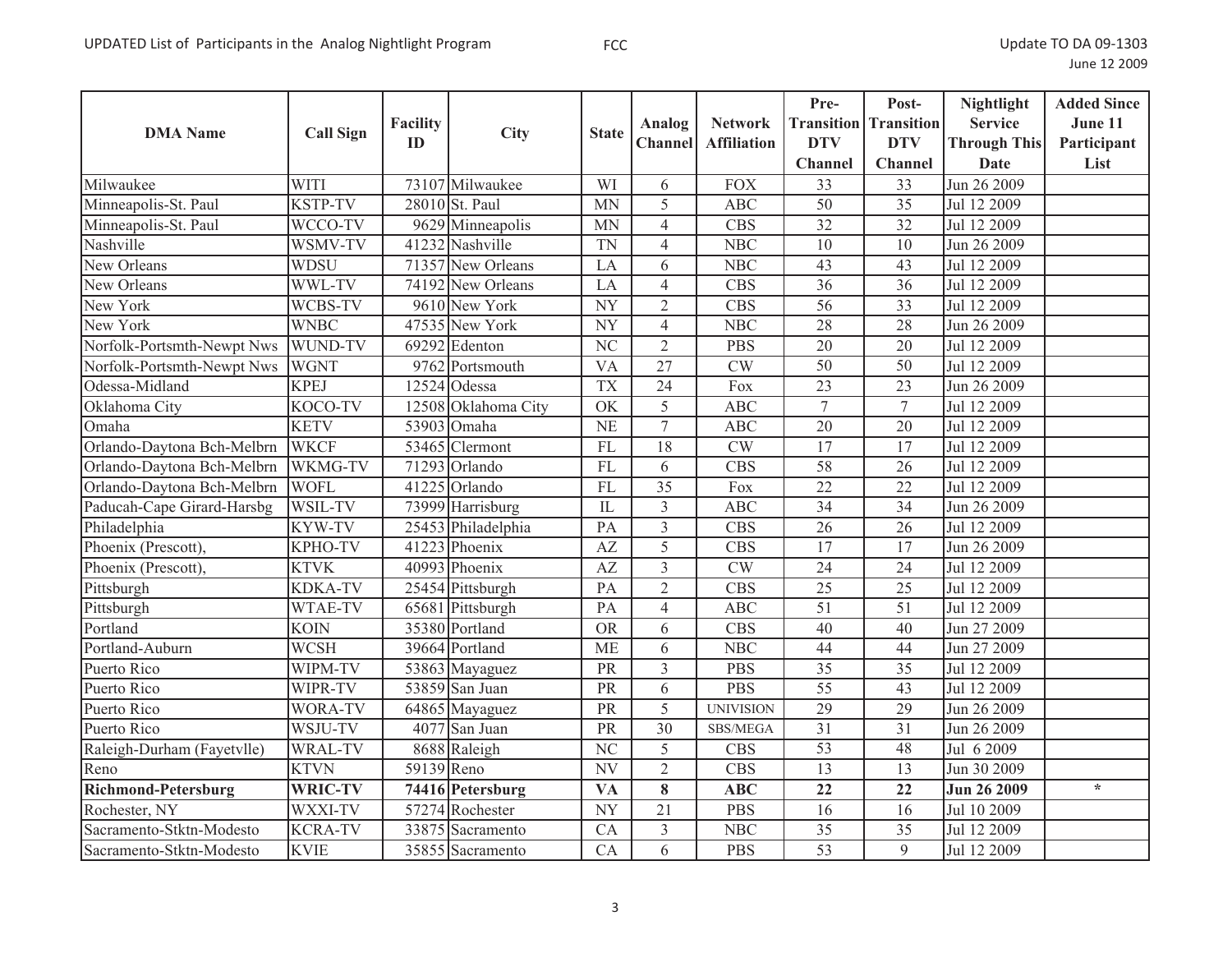| <b>DMA</b> Name            | <b>Call Sign</b> | <b>Facility</b> | <b>City</b>         | <b>State</b>           | Analog          | <b>Network</b>         | Pre-            | Post-<br><b>Transition</b> Transition | <b>Nightlight</b><br><b>Service</b> | <b>Added Since</b><br>June 11 |
|----------------------------|------------------|-----------------|---------------------|------------------------|-----------------|------------------------|-----------------|---------------------------------------|-------------------------------------|-------------------------------|
|                            |                  | ID              |                     |                        | Channel         | <b>Affiliation</b>     | <b>DTV</b>      | <b>DTV</b>                            | <b>Through This</b>                 | Participant                   |
|                            |                  |                 |                     |                        |                 |                        | <b>Channel</b>  | <b>Channel</b>                        | Date                                | List                          |
| Milwaukee                  | <b>WITI</b>      |                 | 73107 Milwaukee     | WI                     | 6               | <b>FOX</b>             | 33              | $\overline{33}$                       | Jun 26 2009                         |                               |
| Minneapolis-St. Paul       | <b>KSTP-TV</b>   |                 | 28010 St. Paul      | <b>MN</b>              | 5               | <b>ABC</b>             | 50              | 35                                    | Jul 12 2009                         |                               |
| Minneapolis-St. Paul       | WCCO-TV          |                 | 9629 Minneapolis    | <b>MN</b>              | $\overline{4}$  | <b>CBS</b>             | 32              | $\overline{32}$                       | Jul 12 2009                         |                               |
| Nashville                  | WSMV-TV          |                 | 41232 Nashville     | <b>TN</b>              | $\overline{4}$  | NBC                    | $\overline{10}$ | $\overline{10}$                       | Jun 26 2009                         |                               |
| New Orleans                | <b>WDSU</b>      |                 | 71357 New Orleans   | LA                     | 6               | <b>NBC</b>             | 43              | 43                                    | Jul 12 2009                         |                               |
| New Orleans                | WWL-TV           |                 | 74192 New Orleans   | LA                     | $\overline{4}$  | <b>CBS</b>             | 36              | $\overline{36}$                       | Jul 12 2009                         |                               |
| New York                   | WCBS-TV          |                 | 9610 New York       | <b>NY</b>              | $\overline{2}$  | <b>CBS</b>             | 56              | $\overline{33}$                       | Jul 12 2009                         |                               |
| New York                   | <b>WNBC</b>      |                 | 47535 New York      | $\overline{NY}$        | $\overline{4}$  | <b>NBC</b>             | 28              | $\overline{28}$                       | Jun 26 2009                         |                               |
| Norfolk-Portsmth-Newpt Nws | WUND-TV          |                 | 69292 Edenton       | $\overline{\text{NC}}$ | $\overline{2}$  | <b>PBS</b>             | $\overline{20}$ | $\overline{20}$                       | Jul 12 2009                         |                               |
| Norfolk-Portsmth-Newpt Nws | <b>WGNT</b>      |                 | 9762 Portsmouth     | $\overline{VA}$        | $\overline{27}$ | $\overline{\text{CW}}$ | $\overline{50}$ | $\overline{50}$                       | Jul 12 2009                         |                               |
| Odessa-Midland             | <b>KPEJ</b>      |                 | $12524$ Odessa      | <b>TX</b>              | 24              | Fox                    | $\overline{23}$ | 23                                    | Jun 26 2009                         |                               |
| Oklahoma City              | KOCO-TV          |                 | 12508 Oklahoma City | $\overline{\text{OK}}$ | 5               | <b>ABC</b>             | $\overline{7}$  | $\overline{7}$                        | Jul 12 2009                         |                               |
| Omaha                      | <b>KETV</b>      |                 | 53903 Omaha         | $\overline{\text{NE}}$ | $\overline{7}$  | <b>ABC</b>             | $\overline{20}$ | 20                                    | Jul 12 2009                         |                               |
| Orlando-Daytona Bch-Melbrn | <b>WKCF</b>      | 53465           | Clermont            | FL                     | 18              | <b>CW</b>              | 17              | 17                                    | Jul 12 2009                         |                               |
| Orlando-Daytona Bch-Melbrn | WKMG-TV          | 71293           | Orlando             | FL                     | $\overline{6}$  | $\overline{CBS}$       | 58              | $\overline{26}$                       | Jul 12 2009                         |                               |
| Orlando-Daytona Bch-Melbrn | <b>WOFL</b>      | 41225           | Orlando             | FL                     | $\overline{35}$ | Fox                    | $\overline{22}$ | 22                                    | Jul 12 2009                         |                               |
| Paducah-Cape Girard-Harsbg | WSIL-TV          |                 | 73999 Harrisburg    | IL                     | $\overline{3}$  | <b>ABC</b>             | $\overline{34}$ | 34                                    | Jun 26 2009                         |                               |
| Philadelphia               | <b>KYW-TV</b>    |                 | 25453 Philadelphia  | PA                     | $\overline{3}$  | <b>CBS</b>             | 26              | 26                                    | Jul 12 2009                         |                               |
| Phoenix (Prescott).        | KPHO-TV          | 41223           | Phoenix             | AZ                     | 5               | <b>CBS</b>             | 17              | 17                                    | Jun 26 2009                         |                               |
| Phoenix (Prescott),        | <b>KTVK</b>      |                 | 40993 Phoenix       | AZ                     | $\overline{3}$  | CW                     | 24              | 24                                    | Jul 12 2009                         |                               |
| Pittsburgh                 | <b>KDKA-TV</b>   |                 | 25454 Pittsburgh    | PA                     | $\overline{2}$  | <b>CBS</b>             | 25              | 25                                    | Jul 12 2009                         |                               |
| Pittsburgh                 | WTAE-TV          |                 | 65681 Pittsburgh    | PA                     | $\overline{4}$  | <b>ABC</b>             | 51              | $\overline{51}$                       | Jul 12 2009                         |                               |
| Portland                   | <b>KOIN</b>      |                 | 35380 Portland      | <b>OR</b>              | 6               | <b>CBS</b>             | 40              | 40                                    | Jun 27 2009                         |                               |
| Portland-Auburn            | <b>WCSH</b>      |                 | 39664 Portland      | <b>ME</b>              | 6               | <b>NBC</b>             | 44              | $\overline{44}$                       | Jun 27 2009                         |                               |
| Puerto Rico                | WIPM-TV          |                 | 53863 Mayaguez      | PR                     | $\overline{3}$  | <b>PBS</b>             | $\overline{35}$ | $\overline{35}$                       | Jul 12 2009                         |                               |
| Puerto Rico                | WIPR-TV          |                 | 53859 San Juan      | PR                     | 6               | <b>PBS</b>             | $\overline{55}$ | 43                                    | Jul 12 2009                         |                               |
| Puerto Rico                | WORA-TV          |                 | 64865 Mayaguez      | PR                     | 5               | <b>UNIVISION</b>       | 29              | 29                                    | Jun 26 2009                         |                               |
| Puerto Rico                | WSJU-TV          | 4077            | San Juan            | PR                     | $\overline{30}$ | SBS/MEGA               | $\overline{31}$ | $\overline{31}$                       | Jun 26 2009                         |                               |
| Raleigh-Durham (Fayetvlle) | WRAL-TV          |                 | 8688 Raleigh        | NC                     | 5               | <b>CBS</b>             | $\overline{53}$ | 48                                    | Jul 6 2009                          |                               |
| Reno                       | <b>KTVN</b>      | 59139 Reno      |                     | $\overline{\text{NV}}$ | $\overline{2}$  | $\overline{CBS}$       | $\overline{13}$ | $\overline{13}$                       | Jun 30 2009                         |                               |
| <b>Richmond-Petersburg</b> | <b>WRIC-TV</b>   |                 | 74416 Petersburg    | <b>VA</b>              | 8               | <b>ABC</b>             | 22              | 22                                    | <b>Jun 26 2009</b>                  | $\star$                       |
| Rochester, NY              | WXXI-TV          |                 | 57274 Rochester     | <b>NY</b>              | 21              | <b>PBS</b>             | 16              | 16                                    | Jul 10 2009                         |                               |
| Sacramento-Stktn-Modesto   | <b>KCRA-TV</b>   |                 | 33875 Sacramento    | CA                     | $\overline{3}$  | NBC                    | $\overline{35}$ | $\overline{35}$                       | Jul 12 2009                         |                               |
| Sacramento-Stktn-Modesto   | <b>KVIE</b>      |                 | 35855 Sacramento    | CA                     | 6               | <b>PBS</b>             | $\overline{53}$ | 9                                     | Jul 12 2009                         |                               |